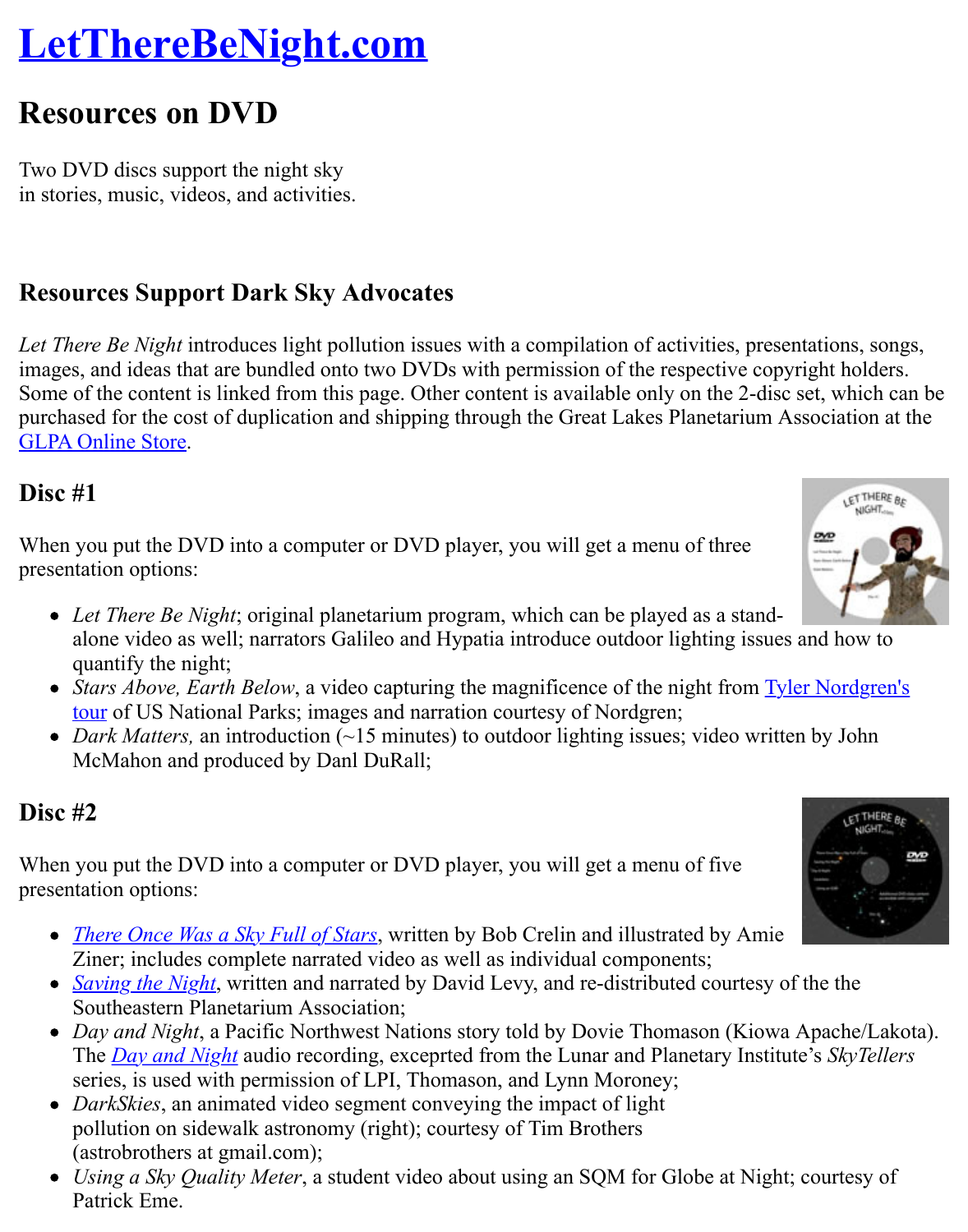Two DVD discs support the night sky [in stories, music, videos, and activities.](http://www.lettherebenight.com/index.html)

# **Resources Support Dark Sky Advocates**

*Let There Be Night* introduces light pollution issues with a compilation of activities, presentations, solutions, so images, and ideas that are bundled onto two DVDs with permission of the respective copyright Some of the content is linked from this page. Other content is available only on the 2-disc set purchased for the cost of duplication and shipping through the Great Lakes Planetarium Assoc GLPA Online Store.

### **Disc #1**

When you put the DVD into a computer or DVD player, you will get a menu of three presentation options:

- *[Let There Be](http://www.glpaweb.org/zencart6/index.php?main_page=product_info&cPath=5&products_id=11) Night*; original planetarium program, which can be played as a standalone video as well; narrators Galileo and Hypatia introduce outdoor lighting issues and quantify the night;
- *Stars Above, Earth Below*, a video capturing the magnificence of the night from **Tyler** N tour of US National Parks; images and narration courtesy of Nordgren;
- *Dark Matters,* an introduction (~15 minutes) to outdoor lighting issues; video written b McMahon and produced by Danl DuRall;

## **Disc #2**

When [you put the DVD into a computer or DVD player, you will get a menu of five](http://www.planetary.org/explore/topics/how_it_works/planetary_analogs/parks.html) presentation options:

- *There Once Was a Sky Full of Stars*, written by Bob Crelin and illustrated by Amie Ziner; includes complete narrated video as well as individual components;
- *Saving the Night*, written and narrated by David Levy, and re-distributed courtesy of the Southeastern Planetarium Association;
- *Day and Night*, a Pacific Northwest Nations story told by Dovie Thomason (Kiowa Ap The *Day and Night* audio recording, exceprted from the Lunar and Planetary Institute's series, is used with permission of LPI, Thomason, and Lynn Moroney;
- *DarkSkies*[, an animated video segm](http://www.bobcrelin.com/author.html)ent conveying the impact of light pollution on sidewalk astronomy (right); courtesy of Tim Brothers [\(astrobrothers at](http://www.geographicsimaging.com/inside%20pages/special%20items%20pages/geo_special_items_3.htm) gmail.com);
- *Using a Sky Quality Meter*, a student video about using an SQM for Globe at Night; co Patr[ick Eme.](http://www.lpi.usra.edu/education/skytellers/day_night/)



 $11110$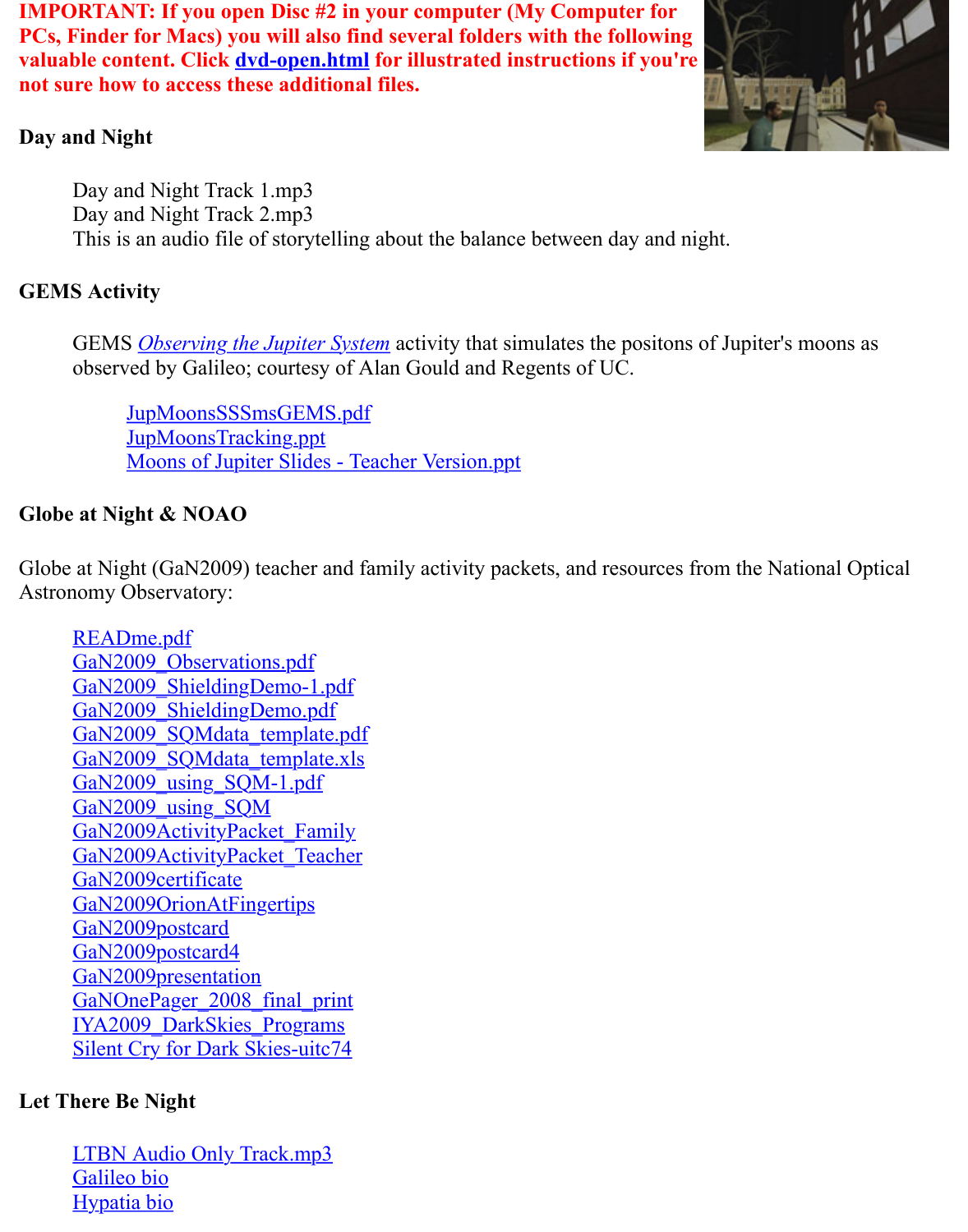Day and Night Track 1.mp3 Day and Night Track 2.mp3 This is an audio fil[e of storytelling](http://www.lettherebenight.com/dvd-open.html) about the balance between day and night.

#### **GEMS Activity**

GEMS *Observing the Jupiter System* activity that simulates the positons of Jupiter's mo observed by Galileo; courtesy of Alan Gould and Regents of UC.

JupMoonsSSSmsGEMS.pdf JupMoonsTracking.ppt Moons of Jupiter Slides - Teacher Version.ppt

### **Globe at Nig[ht & NOAO](http://kepler.nasa.gov/ed/activities/jupmoonsGEMS.html)**

Globe at Ni[ght \(GaN2009\) teacher and fa](http://www.lettherebenight.com/DVD/GEMS%20Activity/JupMoonsSSSmsGEMS.pdf)mily activity packets, and resources from the Nation Astronomy [Observatory:](http://www.lettherebenight.com/DVD/GEMS%20Activity/JupMoonsTracking.ppt)

REA[Dme.pdf](http://www.lettherebenight.com/DVD/GEMS%20Activity/Moons%20of%20Jupiter%20Slides%20-%20Teacher%20Version.ppt) GaN2009 Observations.pdf GaN2009\_ShieldingDemo-1.pdf GaN2009\_ShieldingDemo.pdf GaN2009 SQMdata template.pdf GaN2009\_SQMdata\_template.xls GaN2009\_using\_SQM-1.pdf [GaN2009\\_usin](http://www.lettherebenight.com/DVD/Globe%20at%20Night%20&%20NOAO/%20READme.pdf)g\_SQM [GaN2009ActivityPacket\\_Fa](http://www.lettherebenight.com/DVD/Globe%20at%20Night%20&%20NOAO/GaN2009_Observations.pdf)mily [GaN2009ActivityPacket\\_Teache](http://www.lettherebenight.com/DVD/Globe%20at%20Night%20&%20NOAO/GaN2009_ShieldingDemo-1.pdf)r [GaN2009certificate](http://www.lettherebenight.com/DVD/Globe%20at%20Night%20&%20NOAO/GaN2009_ShieldingDemo.pdf) [GaN2009OrionAtFingertips](http://www.lettherebenight.com/DVD/Globe%20at%20Night%20&%20NOAO/GaN2009_SQMdata_template.pdf) [GaN2009postcard](http://www.lettherebenight.com/DVD/Globe%20at%20Night%20&%20NOAO/GaN2009_SQMdata_template.xls) [GaN2009postcard4](http://www.lettherebenight.com/DVD/Globe%20at%20Night%20&%20NOAO/GaN2009_using_SQM-1.pdf) [GaN2009presentation](http://www.lettherebenight.com/DVD/Globe%20at%20Night%20&%20NOAO/GaN2009_using_SQM.pdf) [GaNOnePager\\_2008\\_final\\_print](http://www.lettherebenight.com/DVD/Globe%20at%20Night%20&%20NOAO/GaN2009ActivityPacket_Family.pdf) [IYA2009\\_DarkSkies\\_Programs](http://www.lettherebenight.com/DVD/Globe%20at%20Night%20&%20NOAO/GaN2009ActivityPacket_Teacher.pdf) [Silent Cry for Dark](http://www.lettherebenight.com/DVD/Globe%20at%20Night%20&%20NOAO/GaN2009certificate.pdf) [Skies-uit](http://www.lettherebenight.com/DVD/Globe%20at%20Night%20&%20NOAO/GaN2009OrionAtFingertips.pdf)c74

### **Let T[here Be Night](http://www.lettherebenight.com/DVD/Globe%20at%20Night%20&%20NOAO/GaN2009postcard.pdf)**

[LTBN Audio Only Tr](http://www.lettherebenight.com/DVD/Globe%20at%20Night%20&%20NOAO/GaN2009presentation.pdf)[ack.mp3](http://www.lettherebenight.com/DVD/Globe%20at%20Night%20&%20NOAO/GaNOnePager_2008_final_print.pdf) Galileo bio [Hypatia bio](http://www.lettherebenight.com/DVD/Globe%20at%20Night%20&%20NOAO/IYA2009_DarkSkies_Programs.pdf)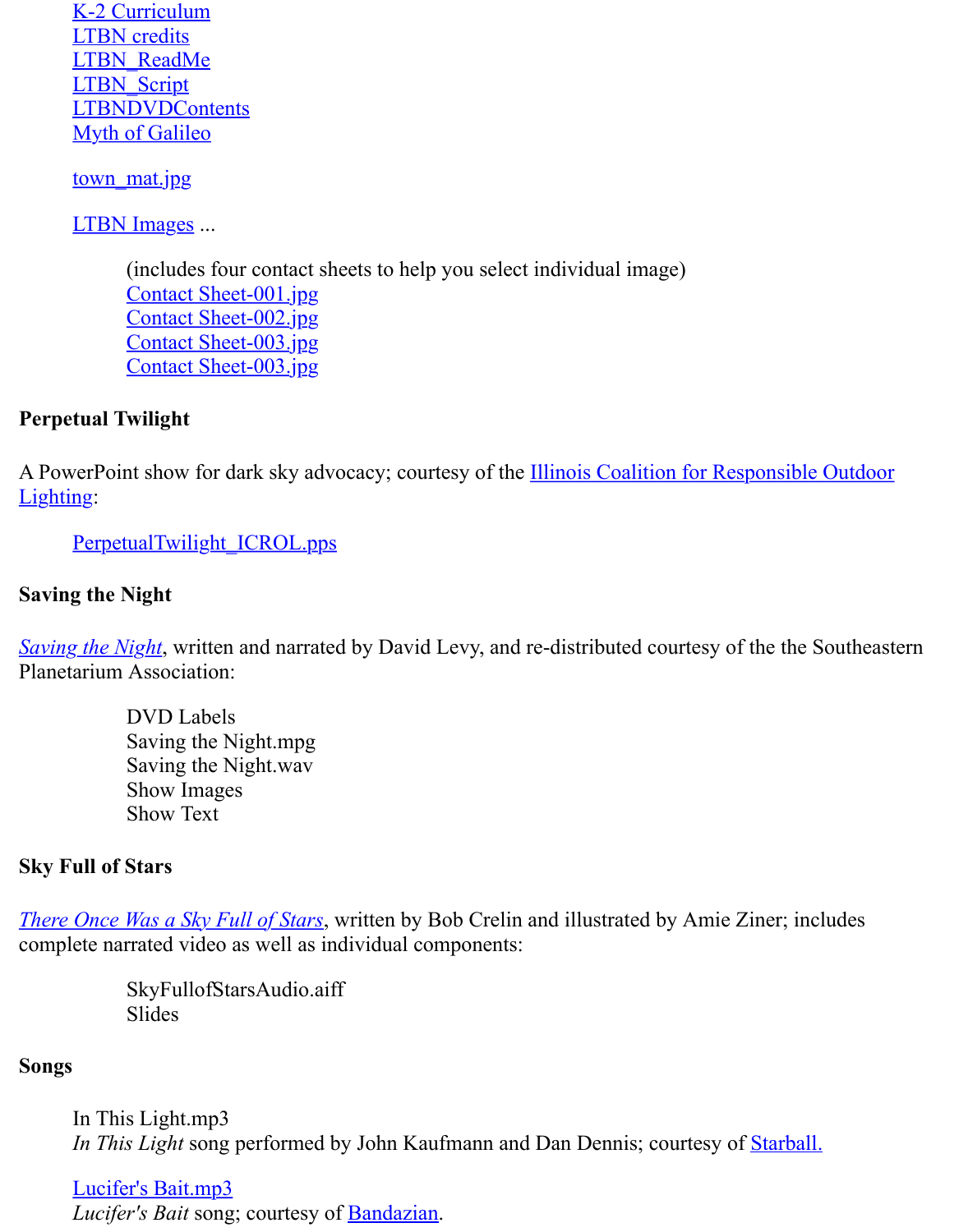town mat.jpg

**[LTBN Images ...](http://www.lettherebenight.com/DVD/Let%20There%20Be%20Night/LTBN%20Documents/LTBN_ReadMe.doc)** 

[\(includes four](http://www.lettherebenight.com/DVD/Let%20There%20Be%20Night/LTBN%20Documents/LTBNDVDContents.doc) contact sheets to help you select individual image) [Contact Sh](http://www.lettherebenight.com/DVD/Let%20There%20Be%20Night/LTBN%20Documents/Myth%20of%20Galileo.doc)eet-001.jpg Contact Sheet-002.jpg [Contact](http://www.lettherebenight.com/DVD/Let%20There%20Be%20Night/LTBN%20Documents/town_mat.jpg) Sheet-003.jpg Contact Sheet-003.jpg

### **Perpetual Twilight**

A PowerPoi[nt show for dark sky ad](http://www.lettherebenight.com/DVD/Let%20There%20Be%20Night/LTBN%20Images/ContactSheet-001.jpg)vocacy; courtesy of the **Illinois Coalition for Responsible** Lighting:

Perpe[tualTwilight\\_ICROL.pp](http://www.lettherebenight.com/DVD/Let%20There%20Be%20Night/LTBN%20Images/ContactSheet-004.jpg)s

#### **Saving the Night**

*Saving the Night*, written and narrated by David Levy, and re-distributed courtesy of the the S Planetarium Association:

> [DVD Labels](http://www.lettherebenight.com/DVD/PerpetualTwilight_ICROL.pps) Saving the Night.mpg Saving the Night.wav Show Images [Show](http://www.geographicsimaging.com/inside%20pages/special%20items%20pages/geo_special_items_3.htm) Text

#### **Sky Full of Stars**

*There Once Was a Sky Full of Stars*, written by Bob Crelin and illustrated by Amie Ziner; includes complete narrated video as well as individual components:

> SkyFullofStarsAudio.aiff Slides

#### **[Songs](http://www.bobcrelin.com/author.html)**

In This Light.mp3 *In This Light* song performed by John Kaufmann and Dan Dennis; courtesy of Starball.

Lucifer's Bait.mp3 *Lucifer's Bait* song; courtesy of Bandazian.